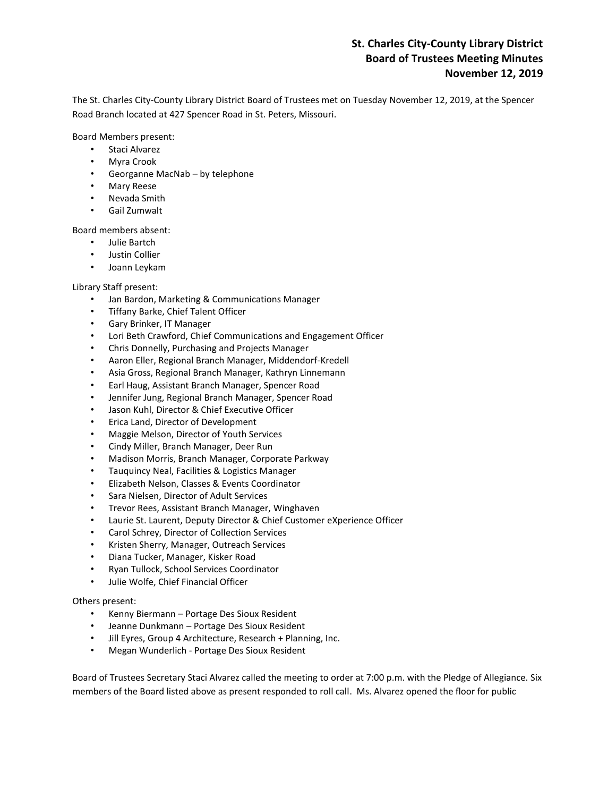# **St. Charles City-County Library District Board of Trustees Meeting Minutes November 12, 2019**

The St. Charles City-County Library District Board of Trustees met on Tuesday November 12, 2019, at the Spencer Road Branch located at 427 Spencer Road in St. Peters, Missouri.

Board Members present:

- Staci Alvarez
- Myra Crook
- Georganne MacNab by telephone
- Mary Reese
- Nevada Smith
- Gail Zumwalt

Board members absent:

- Julie Bartch
- Justin Collier
- Joann Leykam

# Library Staff present:

- Jan Bardon, Marketing & Communications Manager
- Tiffany Barke, Chief Talent Officer
- Gary Brinker, IT Manager
- Lori Beth Crawford, Chief Communications and Engagement Officer
- Chris Donnelly, Purchasing and Projects Manager
- Aaron Eller, Regional Branch Manager, Middendorf-Kredell
- Asia Gross, Regional Branch Manager, Kathryn Linnemann
- Earl Haug, Assistant Branch Manager, Spencer Road
- Jennifer Jung, Regional Branch Manager, Spencer Road
- Jason Kuhl, Director & Chief Executive Officer
- Erica Land, Director of Development
- Maggie Melson, Director of Youth Services
- Cindy Miller, Branch Manager, Deer Run
- Madison Morris, Branch Manager, Corporate Parkway
- Tauquincy Neal, Facilities & Logistics Manager
- Elizabeth Nelson, Classes & Events Coordinator
- Sara Nielsen, Director of Adult Services
- Trevor Rees, Assistant Branch Manager, Winghaven
- Laurie St. Laurent, Deputy Director & Chief Customer eXperience Officer
- Carol Schrey, Director of Collection Services
- Kristen Sherry, Manager, Outreach Services
- Diana Tucker, Manager, Kisker Road
- Ryan Tullock, School Services Coordinator
- Julie Wolfe, Chief Financial Officer

# Others present:

- Kenny Biermann Portage Des Sioux Resident
- Jeanne Dunkmann Portage Des Sioux Resident
- Jill Eyres, Group 4 Architecture, Research + Planning, Inc.
- Megan Wunderlich Portage Des Sioux Resident

Board of Trustees Secretary Staci Alvarez called the meeting to order at 7:00 p.m. with the Pledge of Allegiance. Six members of the Board listed above as present responded to roll call. Ms. Alvarez opened the floor for public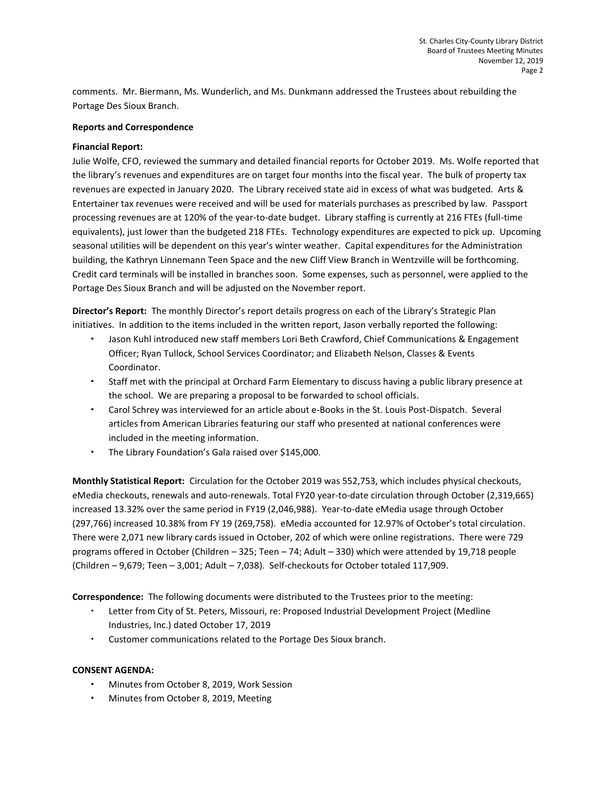comments. Mr. Biermann, Ms. Wunderlich, and Ms. Dunkmann addressed the Trustees about rebuilding the Portage Des Sioux Branch.

## **Reports and Correspondence**

## **Financial Report:**

Julie Wolfe, CFO, reviewed the summary and detailed financial reports for October 2019. Ms. Wolfe reported that the library's revenues and expenditures are on target four months into the fiscal year. The bulk of property tax revenues are expected in January 2020. The Library received state aid in excess of what was budgeted. Arts & Entertainer tax revenues were received and will be used for materials purchases as prescribed by law. Passport processing revenues are at 120% of the year-to-date budget. Library staffing is currently at 216 FTEs (full-time equivalents), just lower than the budgeted 218 FTEs. Technology expenditures are expected to pick up. Upcoming seasonal utilities will be dependent on this year's winter weather. Capital expenditures for the Administration building, the Kathryn Linnemann Teen Space and the new Cliff View Branch in Wentzville will be forthcoming. Credit card terminals will be installed in branches soon. Some expenses, such as personnel, were applied to the Portage Des Sioux Branch and will be adjusted on the November report.

**Director's Report:** The monthly Director's report details progress on each of the Library's Strategic Plan initiatives. In addition to the items included in the written report, Jason verbally reported the following:

- Jason Kuhl introduced new staff members Lori Beth Crawford, Chief Communications & Engagement Officer; Ryan Tullock, School Services Coordinator; and Elizabeth Nelson, Classes & Events Coordinator.
- Staff met with the principal at Orchard Farm Elementary to discuss having a public library presence at the school. We are preparing a proposal to be forwarded to school officials.
- Carol Schrey was interviewed for an article about e-Books in the St. Louis Post-Dispatch. Several articles from American Libraries featuring our staff who presented at national conferences were included in the meeting information.
- The Library Foundation's Gala raised over \$145,000.

**Monthly Statistical Report:** Circulation for the October 2019 was 552,753, which includes physical checkouts, eMedia checkouts, renewals and auto-renewals. Total FY20 year-to-date circulation through October (2,319,665) increased 13.32% over the same period in FY19 (2,046,988). Year-to-date eMedia usage through October (297,766) increased 10.38% from FY 19 (269,758). eMedia accounted for 12.97% of October's total circulation. There were 2,071 new library cards issued in October, 202 of which were online registrations. There were 729 programs offered in October (Children – 325; Teen – 74; Adult – 330) which were attended by 19,718 people (Children – 9,679; Teen – 3,001; Adult – 7,038). Self-checkouts for October totaled 117,909.

**Correspondence:** The following documents were distributed to the Trustees prior to the meeting:

- Letter from City of St. Peters, Missouri, re: Proposed Industrial Development Project (Medline Industries, Inc.) dated October 17, 2019
- Customer communications related to the Portage Des Sioux branch.

# **CONSENT AGENDA:**

- Minutes from October 8, 2019, Work Session
- Minutes from October 8, 2019, Meeting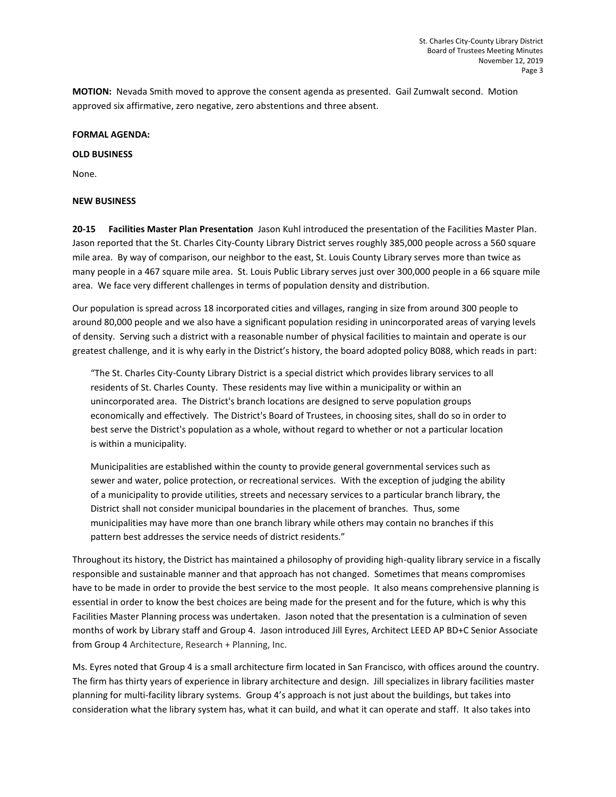**MOTION:** Nevada Smith moved to approve the consent agenda as presented. Gail Zumwalt second. Motion approved six affirmative, zero negative, zero abstentions and three absent.

### **FORMAL AGENDA:**

#### **OLD BUSINESS**

None.

#### **NEW BUSINESS**

**20-15 Facilities Master Plan Presentation** Jason Kuhl introduced the presentation of the Facilities Master Plan. Jason reported that the St. Charles City-County Library District serves roughly 385,000 people across a 560 square mile area. By way of comparison, our neighbor to the east, St. Louis County Library serves more than twice as many people in a 467 square mile area. St. Louis Public Library serves just over 300,000 people in a 66 square mile area. We face very different challenges in terms of population density and distribution.

Our population is spread across 18 incorporated cities and villages, ranging in size from around 300 people to around 80,000 people and we also have a significant population residing in unincorporated areas of varying levels of density. Serving such a district with a reasonable number of physical facilities to maintain and operate is our greatest challenge, and it is why early in the District's history, the board adopted policy B088, which reads in part:

"The St. Charles City-County Library District is a special district which provides library services to all residents of St. Charles County. These residents may live within a municipality or within an unincorporated area. The District's branch locations are designed to serve population groups economically and effectively. The District's Board of Trustees, in choosing sites, shall do so in order to best serve the District's population as a whole, without regard to whether or not a particular location is within a municipality.

Municipalities are established within the county to provide general governmental services such as sewer and water, police protection, or recreational services. With the exception of judging the ability of a municipality to provide utilities, streets and necessary services to a particular branch library, the District shall not consider municipal boundaries in the placement of branches. Thus, some municipalities may have more than one branch library while others may contain no branches if this pattern best addresses the service needs of district residents."

Throughout its history, the District has maintained a philosophy of providing high-quality library service in a fiscally responsible and sustainable manner and that approach has not changed. Sometimes that means compromises have to be made in order to provide the best service to the most people. It also means comprehensive planning is essential in order to know the best choices are being made for the present and for the future, which is why this Facilities Master Planning process was undertaken. Jason noted that the presentation is a culmination of seven months of work by Library staff and Group 4. Jason introduced Jill Eyres, Architect LEED AP BD+C Senior Associate from Group 4 Architecture, Research + Planning, Inc.

Ms. Eyres noted that Group 4 is a small architecture firm located in San Francisco, with offices around the country. The firm has thirty years of experience in library architecture and design. Jill specializes in library facilities master planning for multi-facility library systems. Group 4's approach is not just about the buildings, but takes into consideration what the library system has, what it can build, and what it can operate and staff. It also takes into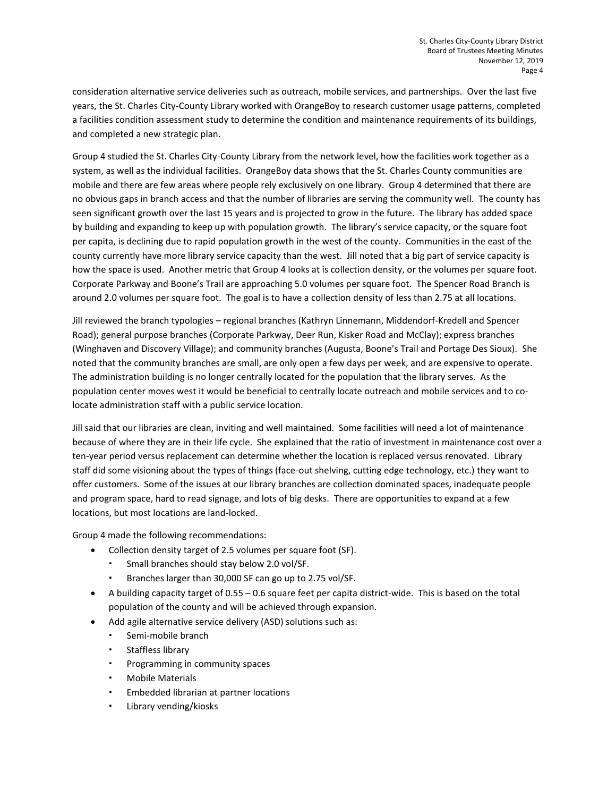consideration alternative service deliveries such as outreach, mobile services, and partnerships. Over the last five years, the St. Charles City-County Library worked with OrangeBoy to research customer usage patterns, completed a facilities condition assessment study to determine the condition and maintenance requirements of its buildings, and completed a new strategic plan.

Group 4 studied the St. Charles City-County Library from the network level, how the facilities work together as a system, as well as the individual facilities. OrangeBoy data shows that the St. Charles County communities are mobile and there are few areas where people rely exclusively on one library. Group 4 determined that there are no obvious gaps in branch access and that the number of libraries are serving the community well. The county has seen significant growth over the last 15 years and is projected to grow in the future. The library has added space by building and expanding to keep up with population growth. The library's service capacity, or the square foot per capita, is declining due to rapid population growth in the west of the county. Communities in the east of the county currently have more library service capacity than the west. Jill noted that a big part of service capacity is how the space is used. Another metric that Group 4 looks at is collection density, or the volumes per square foot. Corporate Parkway and Boone's Trail are approaching 5.0 volumes per square foot. The Spencer Road Branch is around 2.0 volumes per square foot. The goal is to have a collection density of less than 2.75 at all locations.

Jill reviewed the branch typologies – regional branches (Kathryn Linnemann, Middendorf-Kredell and Spencer Road); general purpose branches (Corporate Parkway, Deer Run, Kisker Road and McClay); express branches (Winghaven and Discovery Village); and community branches (Augusta, Boone's Trail and Portage Des Sioux). She noted that the community branches are small, are only open a few days per week, and are expensive to operate. The administration building is no longer centrally located for the population that the library serves. As the population center moves west it would be beneficial to centrally locate outreach and mobile services and to colocate administration staff with a public service location.

Jill said that our libraries are clean, inviting and well maintained. Some facilities will need a lot of maintenance because of where they are in their life cycle. She explained that the ratio of investment in maintenance cost over a ten-year period versus replacement can determine whether the location is replaced versus renovated. Library staff did some visioning about the types of things (face-out shelving, cutting edge technology, etc.) they want to offer customers. Some of the issues at our library branches are collection dominated spaces, inadequate people and program space, hard to read signage, and lots of big desks. There are opportunities to expand at a few locations, but most locations are land-locked.

Group 4 made the following recommendations:

- Collection density target of 2.5 volumes per square foot (SF).
	- Small branches should stay below 2.0 vol/SF.
	- Branches larger than 30,000 SF can go up to 2.75 vol/SF.
- A building capacity target of 0.55 0.6 square feet per capita district-wide. This is based on the total population of the county and will be achieved through expansion.
- Add agile alternative service delivery (ASD) solutions such as:
	- Semi-mobile branch
	- Staffless library
	- Programming in community spaces
	- Mobile Materials
	- Embedded librarian at partner locations
	- Library vending/kiosks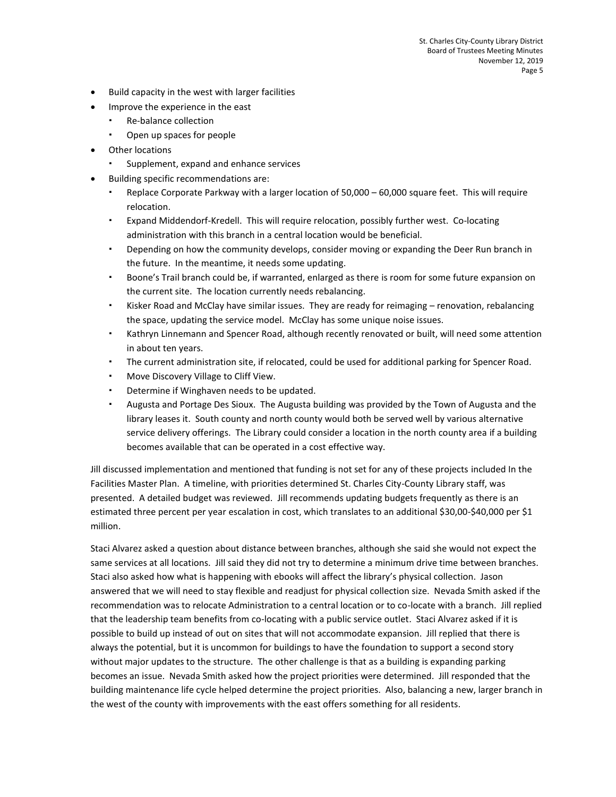- Build capacity in the west with larger facilities
- Improve the experience in the east
	- Re-balance collection
	- Open up spaces for people
- Other locations
	- Supplement, expand and enhance services
- Building specific recommendations are:
	- Replace Corporate Parkway with a larger location of 50,000 60,000 square feet. This will require relocation.
	- Expand Middendorf-Kredell. This will require relocation, possibly further west. Co-locating administration with this branch in a central location would be beneficial.
	- Depending on how the community develops, consider moving or expanding the Deer Run branch in the future. In the meantime, it needs some updating.
	- Boone's Trail branch could be, if warranted, enlarged as there is room for some future expansion on the current site. The location currently needs rebalancing.
	- Kisker Road and McClay have similar issues. They are ready for reimaging renovation, rebalancing the space, updating the service model. McClay has some unique noise issues.
	- Kathryn Linnemann and Spencer Road, although recently renovated or built, will need some attention in about ten years.
	- The current administration site, if relocated, could be used for additional parking for Spencer Road.
	- Move Discovery Village to Cliff View.
	- Determine if Winghaven needs to be updated.
	- Augusta and Portage Des Sioux. The Augusta building was provided by the Town of Augusta and the library leases it. South county and north county would both be served well by various alternative service delivery offerings. The Library could consider a location in the north county area if a building becomes available that can be operated in a cost effective way.

Jill discussed implementation and mentioned that funding is not set for any of these projects included In the Facilities Master Plan. A timeline, with priorities determined St. Charles City-County Library staff, was presented. A detailed budget was reviewed. Jill recommends updating budgets frequently as there is an estimated three percent per year escalation in cost, which translates to an additional \$30,00-\$40,000 per \$1 million.

Staci Alvarez asked a question about distance between branches, although she said she would not expect the same services at all locations. Jill said they did not try to determine a minimum drive time between branches. Staci also asked how what is happening with ebooks will affect the library's physical collection. Jason answered that we will need to stay flexible and readjust for physical collection size. Nevada Smith asked if the recommendation was to relocate Administration to a central location or to co-locate with a branch. Jill replied that the leadership team benefits from co-locating with a public service outlet. Staci Alvarez asked if it is possible to build up instead of out on sites that will not accommodate expansion. Jill replied that there is always the potential, but it is uncommon for buildings to have the foundation to support a second story without major updates to the structure. The other challenge is that as a building is expanding parking becomes an issue. Nevada Smith asked how the project priorities were determined. Jill responded that the building maintenance life cycle helped determine the project priorities. Also, balancing a new, larger branch in the west of the county with improvements with the east offers something for all residents.